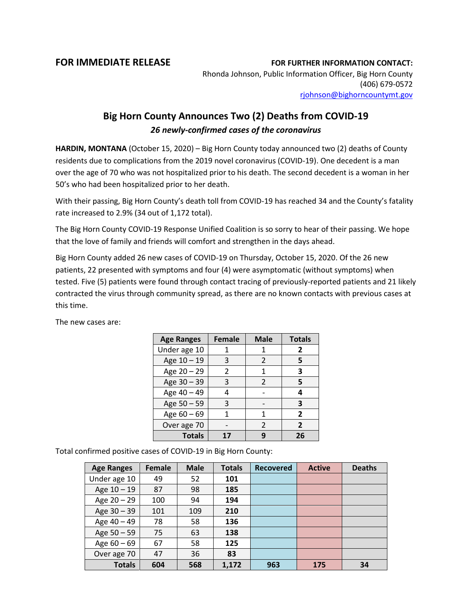## **FOR IMMEDIATE RELEASE FOR FURTHER INFORMATION CONTACT:**

Rhonda Johnson, Public Information Officer, Big Horn County (406) 679-0572 [rjohnson@bighorncountymt.gov](mailto:rjohnson@bighorncountymt.gov)

## **Big Horn County Announces Two (2) Deaths from COVID-19** *26 newly-confirmed cases of the coronavirus*

**HARDIN, MONTANA** (October 15, 2020) – Big Horn County today announced two (2) deaths of County residents due to complications from the 2019 novel coronavirus (COVID-19). One decedent is a man over the age of 70 who was not hospitalized prior to his death. The second decedent is a woman in her 50's who had been hospitalized prior to her death.

With their passing, Big Horn County's death toll from COVID-19 has reached 34 and the County's fatality rate increased to 2.9% (34 out of 1,172 total).

The Big Horn County COVID-19 Response Unified Coalition is so sorry to hear of their passing. We hope that the love of family and friends will comfort and strengthen in the days ahead.

Big Horn County added 26 new cases of COVID-19 on Thursday, October 15, 2020. Of the 26 new patients, 22 presented with symptoms and four (4) were asymptomatic (without symptoms) when tested. Five (5) patients were found through contact tracing of previously-reported patients and 21 likely contracted the virus through community spread, as there are no known contacts with previous cases at this time.

| <b>Age Ranges</b> | <b>Female</b> | <b>Male</b>    | <b>Totals</b>  |
|-------------------|---------------|----------------|----------------|
| Under age 10      |               | 1              | 2              |
| Age 10 - 19       | 3             | $\mathfrak{p}$ | 5              |
| Age 20 - 29       | $\mathcal{P}$ | 1              | 3              |
| Age 30 - 39       | 3             | 2              | 5              |
| Age 40 - 49       |               |                | 4              |
| Age 50 - 59       | 3             |                | 3              |
| Age 60 - 69       |               | 1              | $\overline{2}$ |
| Over age 70       |               | 2              | $\overline{2}$ |
| <b>Totals</b>     | 17            |                | 26             |

The new cases are:

Total confirmed positive cases of COVID-19 in Big Horn County:

| <b>Age Ranges</b> | <b>Female</b> | <b>Male</b> | <b>Totals</b> | <b>Recovered</b> | <b>Active</b> | <b>Deaths</b> |
|-------------------|---------------|-------------|---------------|------------------|---------------|---------------|
| Under age 10      | 49            | 52          | 101           |                  |               |               |
| Age 10 - 19       | 87            | 98          | 185           |                  |               |               |
| Age 20 - 29       | 100           | 94          | 194           |                  |               |               |
| Age 30 - 39       | 101           | 109         | 210           |                  |               |               |
| Age 40 - 49       | 78            | 58          | 136           |                  |               |               |
| Age 50 - 59       | 75            | 63          | 138           |                  |               |               |
| Age $60 - 69$     | 67            | 58          | 125           |                  |               |               |
| Over age 70       | 47            | 36          | 83            |                  |               |               |
| <b>Totals</b>     | 604           | 568         | 1.172         | 963              | 175           | 34            |